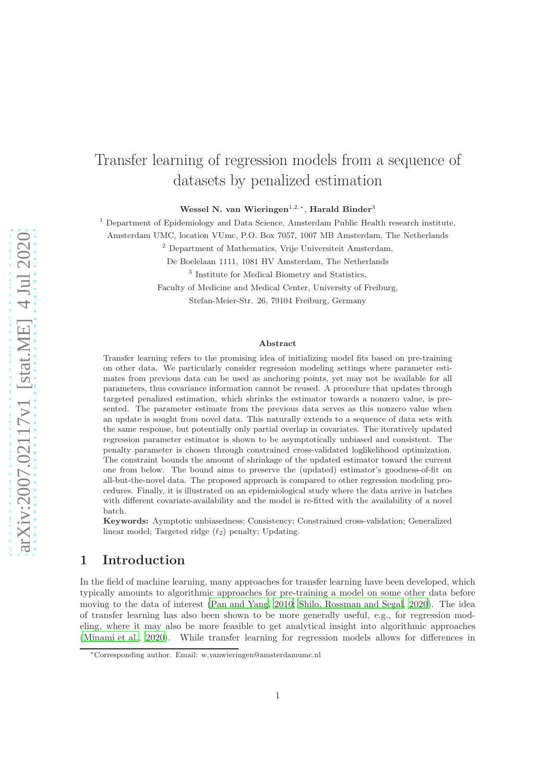# Transfer learning of regression models from a sequence of datasets by penalized estimation

Wessel N. van Wieringen<sup>1,2,\*</sup>, Harald Binder<sup>3</sup>

 $1$  Department of Epidemiology and Data Science, Amsterdam Public Health research institute,

Amsterdam UMC, location VUmc, P.O. Box 7057, 1007 MB Amsterdam, The Netherlands

<sup>2</sup> Department of Mathematics, Vrije Universiteit Amsterdam,

De Boelelaan 1111, 1081 HV Amsterdam, The Netherlands

<sup>3</sup> Institute for Medical Biometry and Statistics,

Faculty of Medicine and Medical Center, University of Freiburg,

Stefan-Meier-Str. 26, 79104 Freiburg, Germany

#### Abstract

Transfer learning refers to the promising idea of initializing model fits based on pre-training on other data. We particularly consider regression modeling settings where parameter estimates from previous data can be used as anchoring points, yet may not be available for all parameters, thus covariance information cannot be reused. A procedure that updates through targeted penalized estimation, which shrinks the estimator towards a nonzero value, is presented. The parameter estimate from the previous data serves as this nonzero value when an update is sought from novel data. This naturally extends to a sequence of data sets with the same response, but potentially only partial overlap in covariates. The iteratively updated regression parameter estimator is shown to be asymptotically unbiased and consistent. The penalty parameter is chosen through constrained cross-validated loglikelihood optimization. The constraint bounds the amount of shrinkage of the updated estimator toward the current one from below. The bound aims to preserve the (updated) estimator's goodness-of-fit on all-but-the-novel data. The proposed approach is compared to other regression modeling procedures. Finally, it is illustrated on an epidemiological study where the data arrive in batches with different covariate-availability and the model is re-fitted with the availability of a novel batch.

Keywords: Aymptotic unbiasedness; Consistency; Constrained cross-validation; Generalized linear model; Targeted ridge  $(\ell_2)$  penalty; Updating.

### 1 Introduction

In the field of machine learning, many approaches for transfer learning have been developed, which typically amounts to algorithmic approaches for pre-training a model on some other data before moving to the data of interest [\(Pan and Yang, 2010](#page-13-0); [Shilo, Rossman](#page-13-1) and Segal, [2020](#page-13-1)). The idea of transfer learning has also been shown to be more generally useful, e.g., for regression modeling, where it may also be more feasible to get analytical insight into algorithmic approaches [\(Minami et al.](#page-13-2), [2020\)](#page-13-2). While transfer learning for regression models allows for differences in

<sup>∗</sup>Corresponding author. Email: w.vanwieringen@amsterdamumc.nl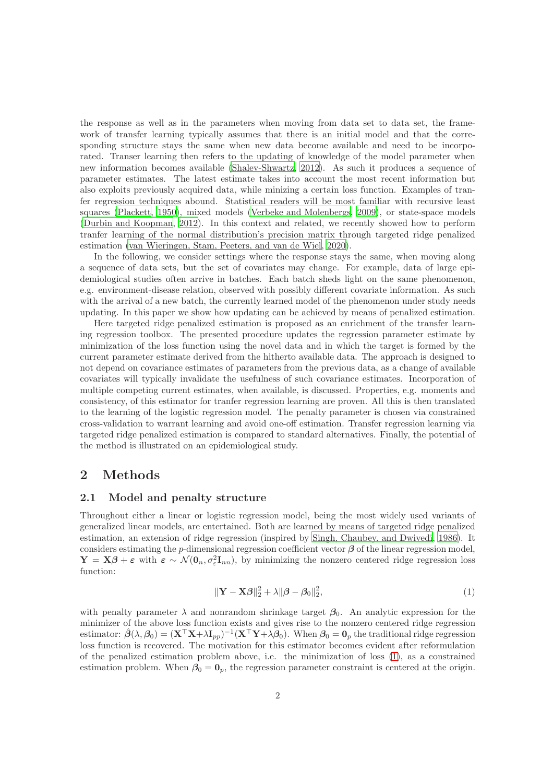the response as well as in the parameters when moving from data set to data set, the framework of transfer learning typically assumes that there is an initial model and that the corresponding structure stays the same when new data become available and need to be incorporated. Transer learning then refers to the updating of knowledge of the model parameter when new information becomes available [\(Shalev-Shwartz, 2012\)](#page-13-3). As such it produces a sequence of parameter estimates. The latest estimate takes into account the most recent information but also exploits previously acquired data, while minizing a certain loss function. Examples of tranfer regression techniques abound. Statistical readers will be most familiar with recursive least squares [\(Plackett](#page-13-4), [1950\)](#page-13-4), mixed models [\(Verbeke and Molenbergs](#page-13-5), [2009\)](#page-13-5), or state-space models [\(Durbin and Koopman, 2012\)](#page-13-6). In this context and related, we recently showed how to perform tranfer learning of the normal distribution's precision matrix through targeted ridge penalized estimation [\(van Wieringen, Stam, Peeters, and van de Wiel, 2020\)](#page-13-7).

In the following, we consider settings where the response stays the same, when moving along a sequence of data sets, but the set of covariates may change. For example, data of large epidemiological studies often arrive in batches. Each batch sheds light on the same phenomenon, e.g. environment-disease relation, observed with possibly different covariate information. As such with the arrival of a new batch, the currently learned model of the phenomenon under study needs updating. In this paper we show how updating can be achieved by means of penalized estimation.

Here targeted ridge penalized estimation is proposed as an enrichment of the transfer learning regression toolbox. The presented procedure updates the regression parameter estimate by minimization of the loss function using the novel data and in which the target is formed by the current parameter estimate derived from the hitherto available data. The approach is designed to not depend on covariance estimates of parameters from the previous data, as a change of available covariates will typically invalidate the usefulness of such covariance estimates. Incorporation of multiple competing current estimates, when available, is discussed. Properties, e.g. moments and consistency, of this estimator for tranfer regression learning are proven. All this is then translated to the learning of the logistic regression model. The penalty parameter is chosen via constrained cross-validation to warrant learning and avoid one-off estimation. Transfer regression learning via targeted ridge penalized estimation is compared to standard alternatives. Finally, the potential of the method is illustrated on an epidemiological study.

### 2 Methods

#### 2.1 Model and penalty structure

Throughout either a linear or logistic regression model, being the most widely used variants of generalized linear models, are entertained. Both are learned by means of targeted ridge penalized estimation, an extension of ridge regression (inspired by [Singh, Chaubey, and Dwivedi](#page-13-8), [1986\)](#page-13-8). It considers estimating the p-dimensional regression coefficient vector  $\beta$  of the linear regression model,  $\mathbf{Y} = \mathbf{X}\boldsymbol{\beta} + \boldsymbol{\varepsilon}$  with  $\boldsymbol{\varepsilon} \sim \mathcal{N}(\mathbf{0}_n, \sigma_{\varepsilon}^2 \mathbf{I}_{nn})$ , by minimizing the nonzero centered ridge regression loss function:

<span id="page-1-0"></span>
$$
\|\mathbf{Y} - \mathbf{X}\boldsymbol{\beta}\|_2^2 + \lambda \|\boldsymbol{\beta} - \boldsymbol{\beta}_0\|_2^2,\tag{1}
$$

with penalty parameter  $\lambda$  and nonrandom shrinkage target  $\beta_0$ . An analytic expression for the minimizer of the above loss function exists and gives rise to the nonzero centered ridge regression estimator:  $\hat{\beta}(\lambda,\beta_0) = (\mathbf{X}^\top \mathbf{X} + \lambda \mathbf{I}_{pp})^{-1} (\mathbf{X}^\top \mathbf{Y} + \lambda \beta_0).$  When  $\beta_0 = \mathbf{0}_p$  the traditional ridge regression loss function is recovered. The motivation for this estimator becomes evident after reformulation of the penalized estimation problem above, i.e. the minimization of loss [\(1\)](#page-1-0), as a constrained estimation problem. When  $\beta_0 = \mathbf{0}_p$ , the regression parameter constraint is centered at the origin.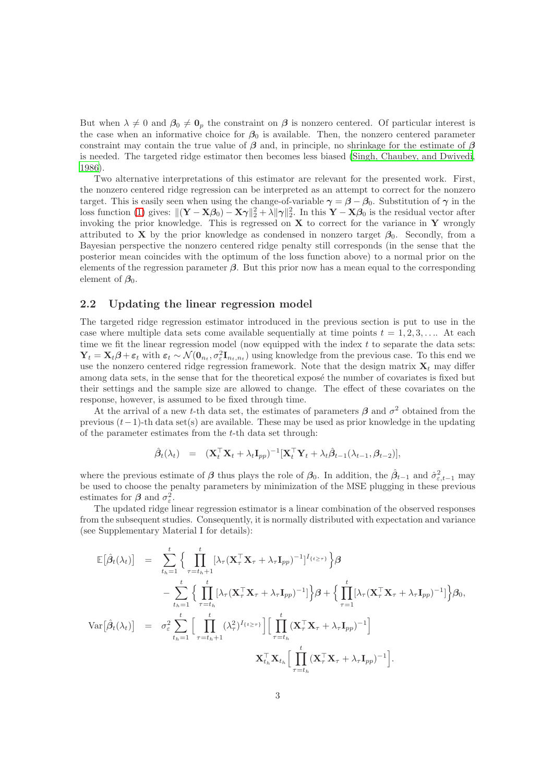But when  $\lambda \neq 0$  and  $\beta_0 \neq \mathbf{0}_p$  the constraint on  $\beta$  is nonzero centered. Of particular interest is the case when an informative choice for  $\beta_0$  is available. Then, the nonzero centered parameter constraint may contain the true value of  $\beta$  and, in principle, no shrinkage for the estimate of  $\beta$ is needed. The targeted ridge estimator then becomes less biased [\(Singh, Chaubey, and Dwivedi,](#page-13-8) [1986](#page-13-8)).

Two alternative interpretations of this estimator are relevant for the presented work. First, the nonzero centered ridge regression can be interpreted as an attempt to correct for the nonzero target. This is easily seen when using the change-of-variable  $\gamma = \beta - \beta_0$ . Substitution of  $\gamma$  in the loss function [\(1\)](#page-1-0) gives:  $\|(\mathbf{Y} - \mathbf{X}\boldsymbol{\beta}_0) - \mathbf{X}\boldsymbol{\gamma}\|_2^2 + \lambda \|\boldsymbol{\gamma}\|_2^2$ . In this  $\mathbf{Y} - \mathbf{X}\boldsymbol{\beta}_0$  is the residual vector after invoking the prior knowledge. This is regressed on  $X$  to correct for the variance in Y wrongly attributed to **X** by the prior knowledge as condensed in nonzero target  $\beta_0$ . Secondly, from a Bayesian perspective the nonzero centered ridge penalty still corresponds (in the sense that the posterior mean coincides with the optimum of the loss function above) to a normal prior on the elements of the regression parameter  $\beta$ . But this prior now has a mean equal to the corresponding element of  $\beta_0$ .

#### 2.2 Updating the linear regression model

The targeted ridge regression estimator introduced in the previous section is put to use in the case where multiple data sets come available sequentially at time points  $t = 1, 2, 3, \ldots$ . At each time we fit the linear regression model (now equipped with the index  $t$  to separate the data sets:  $\mathbf{Y}_t = \mathbf{X}_t \boldsymbol{\beta} + \boldsymbol{\varepsilon}_t$  with  $\boldsymbol{\varepsilon}_t \sim \mathcal{N}(\mathbf{0}_{n_t}, \sigma_\varepsilon^2 \mathbf{I}_{n_t, n_t})$  using knowledge from the previous case. To this end we use the nonzero centered ridge regression framework. Note that the design matrix  $\mathbf{X}_t$  may differ among data sets, in the sense that for the theoretical expose the number of covariates is fixed but their settings and the sample size are allowed to change. The effect of these covariates on the response, however, is assumed to be fixed through time.

At the arrival of a new t-th data set, the estimates of parameters  $\beta$  and  $\sigma^2$  obtained from the previous  $(t-1)$ -th data set(s) are available. These may be used as prior knowledge in the updating of the parameter estimates from the t-th data set through:

$$
\hat{\boldsymbol{\beta}}_t(\lambda_t) = (\mathbf{X}_t^\top \mathbf{X}_t + \lambda_t \mathbf{I}_{pp})^{-1} [\mathbf{X}_t^\top \mathbf{Y}_t + \lambda_t \hat{\boldsymbol{\beta}}_{t-1}(\lambda_{t-1}, \boldsymbol{\beta}_{t-2})],
$$

where the previous estimate of  $\beta$  thus plays the role of  $\beta_0$ . In addition, the  $\hat{\beta}_{t-1}$  and  $\hat{\sigma}_{\varepsilon,t-1}^2$  may be used to choose the penalty parameters by minimization of the MSE plugging in these previous estimates for  $\beta$  and  $\sigma_{\varepsilon}^2$ .

The updated ridge linear regression estimator is a linear combination of the observed responses from the subsequent studies. Consequently, it is normally distributed with expectation and variance (see Supplementary Material I for details):

$$
\mathbb{E}[\hat{\beta}_t(\lambda_t)] = \sum_{t_h=1}^t \Big\{ \prod_{\tau=t_h+1}^t [\lambda_\tau (\mathbf{X}_\tau^\top \mathbf{X}_\tau + \lambda_\tau \mathbf{I}_{pp})^{-1}]^{I_{\{t \geq \tau\}}} \Big\} \beta
$$
  
 
$$
- \sum_{t_h=1}^t \Big\{ \prod_{\tau=t_h}^t [\lambda_\tau (\mathbf{X}_\tau^\top \mathbf{X}_\tau + \lambda_\tau \mathbf{I}_{pp})^{-1}] \Big\} \beta + \Big\{ \prod_{\tau=1}^t [\lambda_\tau (\mathbf{X}_\tau^\top \mathbf{X}_\tau + \lambda_\tau \mathbf{I}_{pp})^{-1}] \Big\} \beta_0,
$$
  
 
$$
\text{Var}[\hat{\beta}_t(\lambda_t)] = \sigma_\varepsilon^2 \sum_{t_h=1}^t \Big[ \prod_{\tau=t_h+1}^t (\lambda_\tau^2)^{I_{\{t \geq \tau\}}} \Big[ \prod_{\tau=t_h}^t (\mathbf{X}_\tau^\top \mathbf{X}_\tau + \lambda_\tau \mathbf{I}_{pp})^{-1} \Big] \Big]
$$
  
 
$$
\mathbf{X}_{t_h}^\top \mathbf{X}_{t_h} \Big[ \prod_{\tau=t_h}^t (\mathbf{X}_\tau^\top \mathbf{X}_\tau + \lambda_\tau \mathbf{I}_{pp})^{-1} \Big].
$$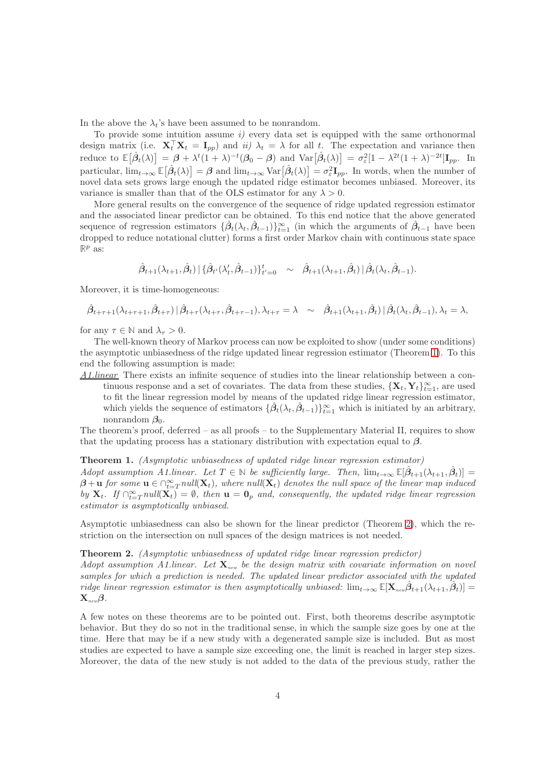In the above the  $\lambda_t$ 's have been assumed to be nonrandom.

To provide some intuition assume  $i$ ) every data set is equipped with the same orthonormal design matrix (i.e.  $\mathbf{X}_t^{\top} \mathbf{X}_t = \mathbf{I}_{pp}$ ) and  $ii)$   $\lambda_t = \lambda$  for all t. The expectation and variance then reduce to  $\mathbb{E}[\hat{\beta}_t(\lambda)] = \beta + \lambda^t (1 + \lambda)^{-t} (\beta_0 - \beta)$  and  $\text{Var}[\hat{\beta}_t(\lambda)] = \sigma_\varepsilon^2 [1 - \lambda^{2t} (1 + \lambda)^{-2t}] \mathbf{I}_{pp}$ . In particular,  $\lim_{t\to\infty} \mathbb{E}[\hat{\beta}_t(\lambda)] = \beta$  and  $\lim_{t\to\infty} \text{Var}[\hat{\beta}_t(\lambda)] = \sigma_\varepsilon^2 \mathbf{I}_{pp}$ . In words, when the number of novel data sets grows large enough the updated ridge estimator becomes unbiased. Moreover, its variance is smaller than that of the OLS estimator for any  $\lambda > 0$ .

More general results on the convergence of the sequence of ridge updated regression estimator and the associated linear predictor can be obtained. To this end notice that the above generated sequence of regression estimators  $\{\hat{\beta}_t(\lambda_t, \hat{\beta}_{t-1})\}_{t=1}^{\infty}$  (in which the arguments of  $\hat{\beta}_{t-1}$  have been dropped to reduce notational clutter) forms a first order Markov chain with continuous state space  $\mathbb{R}^p$  as:

$$
\hat{\beta}_{t+1}(\lambda_{t+1},\hat{\beta}_{t})\,|\,\{\hat{\beta}_{t'}(\lambda'_{t},\hat{\beta}_{t-1})\}_{t'=0}^{t} \sim \hat{\beta}_{t+1}(\lambda_{t+1},\hat{\beta}_{t})\,|\,\hat{\beta}_{t}(\lambda_{t},\hat{\beta}_{t-1}).
$$

Moreover, it is time-homogeneous:

$$
\hat{\beta}_{t+\tau+1}(\lambda_{t+\tau+1},\hat{\beta}_{t+\tau})\,|\,\hat{\beta}_{t+\tau}(\lambda_{t+\tau},\hat{\beta}_{t+\tau-1}),\lambda_{t+\tau}=\lambda \sim \hat{\beta}_{t+1}(\lambda_{t+1},\hat{\beta}_{t})\,|\,\hat{\beta}_{t}(\lambda_{t},\hat{\beta}_{t-1}),\lambda_{t}=\lambda,
$$

for any  $\tau \in \mathbb{N}$  and  $\lambda_{\tau} > 0$ .

The well-known theory of Markov process can now be exploited to show (under some conditions) the asymptotic unbiasedness of the ridge updated linear regression estimator (Theorem [1\)](#page-3-0). To this end the following assumption is made:

A1.linear There exists an infinite sequence of studies into the linear relationship between a continuous response and a set of covariates. The data from these studies,  $\{X_t, Y_t\}_{t=1}^{\infty}$ , are used to fit the linear regression model by means of the updated ridge linear regression estimator, which yields the sequence of estimators  $\{\hat{\beta}_t(\lambda_t, \hat{\beta}_{t-1})\}_{t=1}^{\infty}$  which is initiated by an arbitrary, nonrandom  $\beta_0$ .

The theorem's proof, deferred – as all proofs – to the Supplementary Material II, requires to show that the updating process has a stationary distribution with expectation equal to  $\beta$ .

#### <span id="page-3-0"></span>Theorem 1. (Asymptotic unbiasedness of updated ridge linear regression estimator)

Adopt assumption A1.linear. Let  $T \in \mathbb{N}$  be sufficiently large. Then,  $\lim_{t\to\infty} \mathbb{E}[\hat{\beta}_{t+1}(\lambda_{t+1}, \hat{\beta}_t)] =$  $\beta+{\bf u}$  for some  ${\bf u}\in \cap_{t=T}^\infty null({\bf X}_t),$  where null $({\bf X}_t)$  denotes the null space of the linear map induced by  $X_t$ . If  $\bigcap_{t=T}^{\infty} null(X_t) = \emptyset$ , then  $u = 0_p$  and, consequently, the updated ridge linear regression estimator is asymptotically unbiased.

Asymptotic unbiasedness can also be shown for the linear predictor (Theorem [2\)](#page-3-1), which the restriction on the intersection on null spaces of the design matrices is not needed.

### <span id="page-3-1"></span>Theorem 2. (Asymptotic unbiasedness of updated ridge linear regression predictor)

Adopt assumption A1.linear. Let  $\mathbf{X}_{\text{new}}$  be the design matrix with covariate information on novel samples for which a prediction is needed. The updated linear predictor associated with the updated  $\text{ridge linear regression estimator is then asymptotically unbiased: } \lim_{t \to \infty} \mathbb{E}[\mathbf{X}_{\text{new}}\hat{\theta}_{t+1}(\lambda_{t+1}, \hat{\theta}_{t})] =$  $\mathbf{X}_{new}$  $\boldsymbol{\beta}$ .

A few notes on these theorems are to be pointed out. First, both theorems describe asymptotic behavior. But they do so not in the traditional sense, in which the sample size goes by one at the time. Here that may be if a new study with a degenerated sample size is included. But as most studies are expected to have a sample size exceeding one, the limit is reached in larger step sizes. Moreover, the data of the new study is not added to the data of the previous study, rather the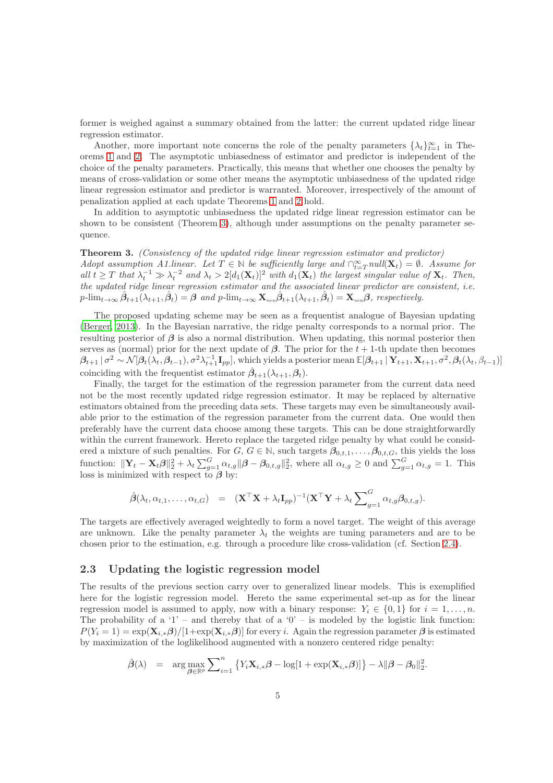former is weighed against a summary obtained from the latter: the current updated ridge linear regression estimator.

Another, more important note concerns the role of the penalty parameters  $\{\lambda_t\}_{t=1}^{\infty}$  in Theorems [1](#page-3-0) and [2.](#page-3-1) The asymptotic unbiasedness of estimator and predictor is independent of the choice of the penalty parameters. Practically, this means that whether one chooses the penalty by means of cross-validation or some other means the asymptotic unbiasedness of the updated ridge linear regression estimator and predictor is warranted. Moreover, irrespectively of the amount of penalization applied at each update Theorems [1](#page-3-0) and [2](#page-3-1) hold.

In addition to asymptotic unbiasedness the updated ridge linear regression estimator can be shown to be consistent (Theorem [3\)](#page-4-0), although under assumptions on the penalty parameter sequence.

<span id="page-4-0"></span>Theorem 3. (Consistency of the updated ridge linear regression estimator and predictor) Adopt assumption A1.linear. Let  $T \in \mathbb{N}$  be sufficiently large and  $\bigcap_{t=T}^{\infty} null(\mathbf{X}_t) = \emptyset$ . Assume for all  $t \geq T$  that  $\lambda_t^{-1} \gg \lambda_t^{-2}$  and  $\lambda_t > 2[d_1(\mathbf{X}_t)]^2$  with  $d_1(\mathbf{X}_t)$  the largest singular value of  $\mathbf{X}_t$ . Then, the updated ridge linear regression estimator and the associated linear predictor are consistent, i.e.  $p\text{-lim}_{t\to\infty}\hat{\beta}_{t+1}(\lambda_{t+1},\hat{\beta}_{t}) = \beta$  and  $p\text{-lim}_{t\to\infty} \mathbf{X}_{\text{new}}\hat{\beta}_{t+1}(\lambda_{t+1},\hat{\beta}_{t}) = \mathbf{X}_{\text{new}}\beta$ , respectively.

The proposed updating scheme may be seen as a frequentist analogue of Bayesian updating [\(Berger, 2013](#page-12-0)). In the Bayesian narrative, the ridge penalty corresponds to a normal prior. The resulting posterior of  $\beta$  is also a normal distribution. When updating, this normal posterior then serves as (normal) prior for the next update of  $\beta$ . The prior for the t + 1-th update then becomes  $\beta_{t+1} | \sigma^2 \sim \mathcal{N}[\beta_t(\lambda_t, \beta_{t-1}), \sigma^2 \lambda_{t+1}^{-1} \mathbf{I}_{pp}],$  which yields a posterior mean  $\mathbb{E}[\beta_{t+1} | \mathbf{Y}_{t+1}, \mathbf{X}_{t+1}, \sigma^2, \beta_t(\lambda_t, \beta_{t-1})]$ coinciding with the frequentist estimator  $\hat{\beta}_{t+1}(\lambda_{t+1}, \beta_t)$ .

Finally, the target for the estimation of the regression parameter from the current data need not be the most recently updated ridge regression estimator. It may be replaced by alternative estimators obtained from the preceding data sets. These targets may even be simultaneously available prior to the estimation of the regression parameter from the current data. One would then preferably have the current data choose among these targets. This can be done straightforwardly within the current framework. Hereto replace the targeted ridge penalty by what could be considered a mixture of such penalties. For  $G, G \in \mathbb{N}$ , such targets  $\beta_{0,t,1}, \ldots, \beta_{0,t,G}$ , this yields the loss function:  $\|\mathbf{Y}_t - \mathbf{X}_t\boldsymbol{\beta}\|_2^2 + \lambda_t \sum_{g=1}^G \alpha_{t,g} \|\boldsymbol{\beta} - \boldsymbol{\beta}_{0,t,g}\|_2^2$ , where all  $\alpha_{t,g} \geq 0$  and  $\sum_{g=1}^G \alpha_{t,g} = 1$ . This loss is minimized with respect to  $\beta$  by:

$$
\hat{\boldsymbol{\beta}}(\lambda_t, \alpha_{t,1}, \dots, \alpha_{t,G}) = (\mathbf{X}^\top \mathbf{X} + \lambda_t \mathbf{I}_{pp})^{-1} (\mathbf{X}^\top \mathbf{Y} + \lambda_t \sum_{g=1}^G \alpha_{t,g} \beta_{0,t,g}).
$$

The targets are effectively averaged weightedly to form a novel target. The weight of this average are unknown. Like the penalty parameter  $\lambda_t$  the weights are tuning parameters and are to be chosen prior to the estimation, e.g. through a procedure like cross-validation (cf. Section [2.4\)](#page-6-0).

#### 2.3 Updating the logistic regression model

The results of the previous section carry over to generalized linear models. This is exemplified here for the logistic regression model. Hereto the same experimental set-up as for the linear regression model is assumed to apply, now with a binary response:  $Y_i \in \{0,1\}$  for  $i = 1, \ldots, n$ . The probability of a '1' – and thereby that of a '0' – is modeled by the logistic link function:  $P(Y_i = 1) = \exp(\mathbf{X}_{i,*} \boldsymbol{\beta})/[1+\exp(\mathbf{X}_{i,*} \boldsymbol{\beta})]$  for every i. Again the regression parameter  $\boldsymbol{\beta}$  is estimated by maximization of the loglikelihood augmented with a nonzero centered ridge penalty:

$$
\hat{\boldsymbol{\beta}}(\lambda) = \arg \max_{\boldsymbol{\beta} \in \mathbb{R}^p} \sum_{i=1}^n \left\{ Y_i \mathbf{X}_{i,*} \boldsymbol{\beta} - \log[1 + \exp(\mathbf{X}_{i,*} \boldsymbol{\beta})] \right\} - \lambda ||\boldsymbol{\beta} - \boldsymbol{\beta}_0||_2^2.
$$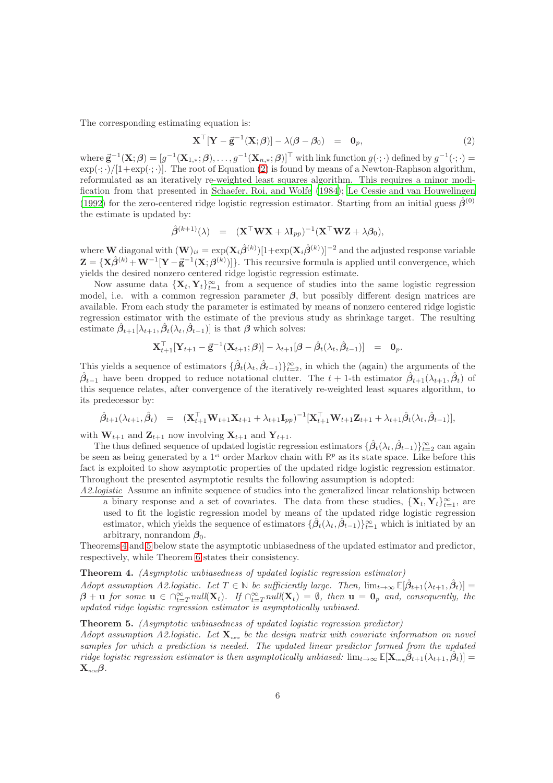The corresponding estimating equation is:

<span id="page-5-0"></span>
$$
\mathbf{X}^{\top}[\mathbf{Y} - \vec{\mathbf{g}}^{-1}(\mathbf{X}; \boldsymbol{\beta})] - \lambda(\boldsymbol{\beta} - \boldsymbol{\beta}_0) = \mathbf{0}_p, \tag{2}
$$

where  $\vec{\mathbf{g}}^{-1}(\mathbf{X};\boldsymbol{\beta}) = [g^{-1}(\mathbf{X}_{1,*};\boldsymbol{\beta}),\ldots,g^{-1}(\mathbf{X}_{n,*};\boldsymbol{\beta})]^{\top}$  with link function  $g(\cdot;\cdot)$  defined by  $g^{-1}(\cdot;\cdot)$  $\exp(\cdot;\cdot)/(1+\exp(\cdot;\cdot))$ . The root of Equation [\(2\)](#page-5-0) is found by means of a Newton-Raphson algorithm, reformulated as an iteratively re-weighted least squares algorithm. This requires a minor modification from that presented in [Schaefer, Roi, and Wolfe \(1984\)](#page-13-9); [Le Cessie and van Houwelingen](#page-13-10) [\(1992\)](#page-13-10) for the zero-centered ridge logistic regression estimator. Starting from an initial guess  $\hat{\beta}^{(0)}$ the estimate is updated by:

$$
\hat{\boldsymbol{\beta}}^{(k+1)}(\lambda) = (\mathbf{X}^{\top} \mathbf{W} \mathbf{X} + \lambda \mathbf{I}_{pp})^{-1} (\mathbf{X}^{\top} \mathbf{W} \mathbf{Z} + \lambda \boldsymbol{\beta}_0),
$$

where  $\bf{W}$  diagonal with  $(\bf{W})_{ii} = \exp({\bf{X}_i} \hat{\boldsymbol{\beta}}^{(k)}) [1 + \exp({\bf{X}_i} \hat{\boldsymbol{\beta}}^{(k)})]^{-2}$  and the adjusted response variable  $\mathbf{Z} = {\mathbf{X}}\hat{\boldsymbol{\beta}}^{(k)} + \mathbf{W}^{-1} [{\mathbf{Y}} - {\vec{\mathbf{g}}}^{-1} ({\mathbf{X}}; {\boldsymbol{\beta}}^{(k)})]\}.$  This recursive formula is applied until convergence, which yields the desired nonzero centered ridge logistic regression estimate.

Now assume data  ${\mathbf {{X}}_t, \mathbf {Y}_t}_{t=1}^\infty$  from a sequence of studies into the same logistic regression model, i.e. with a common regression parameter  $\beta$ , but possibly different design matrices are available. From each study the parameter is estimated by means of nonzero centered ridge logistic regression estimator with the estimate of the previous study as shrinkage target. The resulting estimate  $\hat{\beta}_{t+1}[\lambda_{t+1}, \hat{\beta}_{t}(\lambda_t, \hat{\beta}_{t-1})]$  is that  $\beta$  which solves:

$$
\mathbf{X}_{t+1}^{\top}[\mathbf{Y}_{t+1} - \vec{\mathbf{g}}^{-1}(\mathbf{X}_{t+1}; \boldsymbol{\beta})] - \lambda_{t+1}[\boldsymbol{\beta} - \hat{\boldsymbol{\beta}}_t(\lambda_t, \hat{\boldsymbol{\beta}}_{t-1})] = \mathbf{0}_p.
$$

This yields a sequence of estimators  $\{\hat{\beta}_t(\lambda_t, \hat{\beta}_{t-1})\}_{t=2}^{\infty}$ , in which the (again) the arguments of the  $\hat{\beta}_{t-1}$  have been dropped to reduce notational clutter. The  $t+1$ -th estimator  $\hat{\beta}_{t+1}(\lambda_{t+1},\hat{\beta}_{t})$  of this sequence relates, after convergence of the iteratively re-weighted least squares algorithm, to its predecessor by:

$$
\hat{\beta}_{t+1}(\lambda_{t+1}, \hat{\beta}_{t}) = (\mathbf{X}_{t+1}^{\top} \mathbf{W}_{t+1} \mathbf{X}_{t+1} + \lambda_{t+1} \mathbf{I}_{pp})^{-1} [\mathbf{X}_{t+1}^{\top} \mathbf{W}_{t+1} \mathbf{Z}_{t+1} + \lambda_{t+1} \hat{\beta}_{t}(\lambda_{t}, \hat{\beta}_{t-1})],
$$

with  $\mathbf{W}_{t+1}$  and  $\mathbf{Z}_{t+1}$  now involving  $\mathbf{X}_{t+1}$  and  $\mathbf{Y}_{t+1}$ .

The thus defined sequence of updated logistic regression estimators  $\{\hat{\beta}_t(\lambda_t, \hat{\beta}_{t-1})\}_{t=2}^{\infty}$  can again be seen as being generated by a 1<sup>st</sup> order Markov chain with  $\mathbb{R}^p$  as its state space. Like before this fact is exploited to show asymptotic properties of the updated ridge logistic regression estimator. Throughout the presented asymptotic results the following assumption is adopted:

A2.logistic Assume an infinite sequence of studies into the generalized linear relationship between a binary response and a set of covariates. The data from these studies,  ${X_t, Y_t}_{t=1}^{\infty}$ , are used to fit the logistic regression model by means of the updated ridge logistic regression estimator, which yields the sequence of estimators  $\{\hat{\beta}_t(\lambda_t, \hat{\beta}_{t-1})\}_{t=1}^{\infty}$  which is initiated by an arbitrary, nonrandom  $\beta_0$ .

Theorems [4](#page-5-1) and [5](#page-5-2) below state the asymptotic unbiasedness of the updated estimator and predictor, respectively, while Theorem [6](#page-6-1) states their consistency.

#### <span id="page-5-1"></span>Theorem 4. (Asymptotic unbiasedness of updated logistic regression estimator)

Adopt assumption A2.logistic. Let  $T \in \mathbb{N}$  be sufficiently large. Then,  $\lim_{t\to\infty} \mathbb{E}[\hat{\beta}_{t+1}(\lambda_{t+1}, \hat{\beta}_t)] =$  $\beta + \mathbf{u}$  for some  $\mathbf{u} \in \bigcap_{t=T}^{\infty} null(\mathbf{X}_t)$ . If  $\bigcap_{t=T}^{\infty} null(\mathbf{X}_t) = \emptyset$ , then  $\mathbf{u} = \mathbf{0}_p$  and, consequently, the updated ridge logistic regression estimator is asymptotically unbiased.

#### <span id="page-5-2"></span>Theorem 5. (Asymptotic unbiasedness of updated logistic regression predictor)

Adopt assumption A2.logistic. Let  $\mathbf{X}_{new}$  be the design matrix with covariate information on novel samples for which a prediction is needed. The updated linear predictor formed from the updated  $\text{ridge logistic regression estimator is then asymptotically unbiased: } \lim_{t \to \infty} \mathbb{E}[\mathbf{X}_{\text{new}}\hat{\boldsymbol{\beta}}_{t+1}(\lambda_{t+1}, \hat{\boldsymbol{\beta}}_{t})] =$  $\mathbf{X}_{new}$  $\boldsymbol{\beta}$ .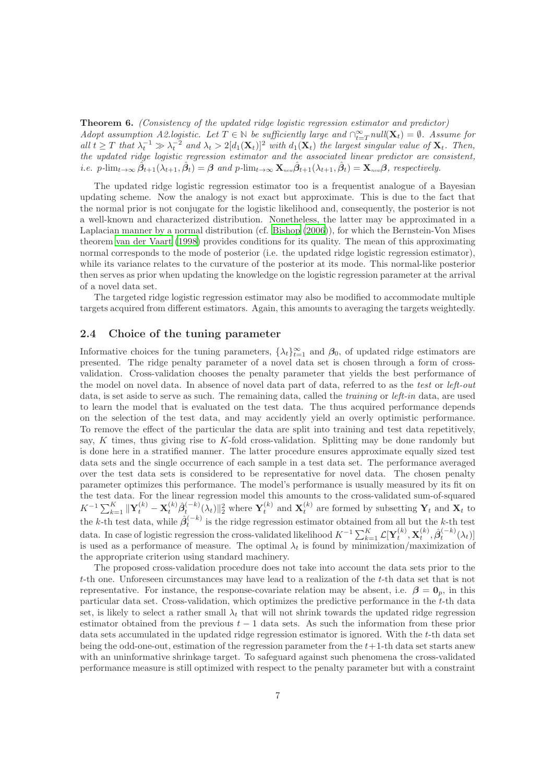<span id="page-6-1"></span>Theorem 6. (Consistency of the updated ridge logistic regression estimator and predictor) Adopt assumption A2.logistic. Let  $T \in \mathbb{N}$  be sufficiently large and  $\bigcap_{t=T}^{\infty} null(\mathbf{X}_t) = \emptyset$ . Assume for all  $t \geq T$  that  $\lambda_t^{-1} \gg \lambda_t^{-2}$  and  $\lambda_t > 2[d_1(\mathbf{X}_t)]^2$  with  $d_1(\mathbf{X}_t)$  the largest singular value of  $\mathbf{X}_t$ . Then, the updated ridge logistic regression estimator and the associated linear predictor are consistent, *i.e.*  $p\text{-lim}_{t\to\infty}\hat{\beta}_{t+1}(\lambda_{t+1},\hat{\beta}_t) = \beta$  and  $p\text{-lim}_{t\to\infty} \mathbf{X}_{\text{new}}\hat{\beta}_{t+1}(\lambda_{t+1},\hat{\beta}_t) = \mathbf{X}_{\text{new}}\beta$ , respectively.

The updated ridge logistic regression estimator too is a frequentist analogue of a Bayesian updating scheme. Now the analogy is not exact but approximate. This is due to the fact that the normal prior is not conjugate for the logistic likelihood and, consequently, the posterior is not a well-known and characterized distribution. Nonetheless, the latter may be approximated in a Laplacian manner by a normal distribution (cf. [Bishop \(2006\)](#page-13-11)), for which the Bernstein-Von Mises theorem [van der Vaart \(1998\)](#page-13-12) provides conditions for its quality. The mean of this approximating normal corresponds to the mode of posterior (i.e. the updated ridge logistic regression estimator), while its variance relates to the curvature of the posterior at its mode. This normal-like posterior then serves as prior when updating the knowledge on the logistic regression parameter at the arrival of a novel data set.

The targeted ridge logistic regression estimator may also be modified to accommodate multiple targets acquired from different estimators. Again, this amounts to averaging the targets weightedly.

### <span id="page-6-0"></span>2.4 Choice of the tuning parameter

Informative choices for the tuning parameters,  $\{\lambda_t\}_{t=1}^{\infty}$  and  $\beta_0$ , of updated ridge estimators are presented. The ridge penalty parameter of a novel data set is chosen through a form of crossvalidation. Cross-validation chooses the penalty parameter that yields the best performance of the model on novel data. In absence of novel data part of data, referred to as the test or left-out data, is set aside to serve as such. The remaining data, called the *training* or *left-in* data, are used to learn the model that is evaluated on the test data. The thus acquired performance depends on the selection of the test data, and may accidently yield an overly optimistic performance. To remove the effect of the particular the data are split into training and test data repetitively, say, K times, thus giving rise to K-fold cross-validation. Splitting may be done randomly but is done here in a stratified manner. The latter procedure ensures approximate equally sized test data sets and the single occurrence of each sample in a test data set. The performance averaged over the test data sets is considered to be representative for novel data. The chosen penalty parameter optimizes this performance. The model's performance is usually measured by its fit on the test data. For the linear regression model this amounts to the cross-validated sum-of-squared  $K^{-1} \sum_{k=1}^K \|\mathbf{Y}_t^{(k)} - \mathbf{X}_t^{(k)} \hat{\beta}_t^{(-k)}(\lambda_t)\|_2^2$  where  $\mathbf{Y}_t^{(k)}$  and  $\mathbf{X}_t^{(k)}$  are formed by subsetting  $\mathbf{Y}_t$  and  $\mathbf{X}_t$  to the k-th test data, while  $\hat{\beta}_t^{(-k)}$  is the ridge regression estimator obtained from all but the k-th test data. In case of logistic regression the cross-validated likelihood  $K^{-1} \sum_{k=1}^K \mathcal{L}[\mathbf{Y}_t^{(k)}, \mathbf{X}_t^{(k)}, \hat{\boldsymbol{\beta}}_t^{(-k)}(\lambda_t)]$ is used as a performance of measure. The optimal  $\lambda_t$  is found by minimization/maximization of the appropriate criterion using standard machinery.

The proposed cross-validation procedure does not take into account the data sets prior to the t-th one. Unforeseen circumstances may have lead to a realization of the t-th data set that is not representative. For instance, the response-covariate relation may be absent, i.e.  $\beta = 0_p$ , in this particular data set. Cross-validation, which optimizes the predictive performance in the t-th data set, is likely to select a rather small  $\lambda_t$  that will not shrink towards the updated ridge regression estimator obtained from the previous  $t - 1$  data sets. As such the information from these prior data sets accumulated in the updated ridge regression estimator is ignored. With the t-th data set being the odd-one-out, estimation of the regression parameter from the  $t+1$ -th data set starts anew with an uninformative shrinkage target. To safeguard against such phenomena the cross-validated performance measure is still optimized with respect to the penalty parameter but with a constraint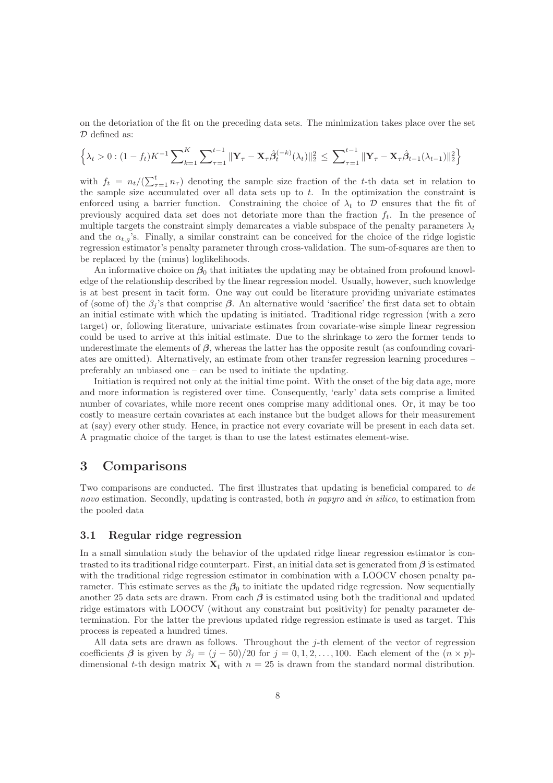on the detoriation of the fit on the preceding data sets. The minimization takes place over the set D defined as:

$$
\left\{\lambda_t > 0 : (1 - f_t)K^{-1} \sum\nolimits_{k=1}^K \sum\nolimits_{\tau=1}^{t-1} \|\mathbf{Y}_{\tau} - \mathbf{X}_{\tau}\hat{\beta}_t^{(-k)}(\lambda_t)\|_2^2 \le \sum\nolimits_{\tau=1}^{t-1} \|\mathbf{Y}_{\tau} - \mathbf{X}_{\tau}\hat{\beta}_{t-1}(\lambda_{t-1})\|_2^2 \right\}
$$

with  $f_t = n_t/(\sum_{\tau=1}^t n_{\tau})$  denoting the sample size fraction of the t-th data set in relation to the sample size accumulated over all data sets up to t. In the optimization the constraint is enforced using a barrier function. Constraining the choice of  $\lambda_t$  to D ensures that the fit of previously acquired data set does not detoriate more than the fraction  $f_t$ . In the presence of multiple targets the constraint simply demarcates a viable subspace of the penalty parameters  $\lambda_t$ and the  $\alpha_{t,q}$ 's. Finally, a similar constraint can be conceived for the choice of the ridge logistic regression estimator's penalty parameter through cross-validation. The sum-of-squares are then to be replaced by the (minus) loglikelihoods.

An informative choice on  $\beta_0$  that initiates the updating may be obtained from profound knowledge of the relationship described by the linear regression model. Usually, however, such knowledge is at best present in tacit form. One way out could be literature providing univariate estimates of (some of) the  $\beta_i$ 's that comprise  $\beta$ . An alternative would 'sacrifice' the first data set to obtain an initial estimate with which the updating is initiated. Traditional ridge regression (with a zero target) or, following literature, univariate estimates from covariate-wise simple linear regression could be used to arrive at this initial estimate. Due to the shrinkage to zero the former tends to underestimate the elements of  $\beta$ , whereas the latter has the opposite result (as confounding covariates are omitted). Alternatively, an estimate from other transfer regression learning procedures – preferably an unbiased one – can be used to initiate the updating.

Initiation is required not only at the initial time point. With the onset of the big data age, more and more information is registered over time. Consequently, 'early' data sets comprise a limited number of covariates, while more recent ones comprise many additional ones. Or, it may be too costly to measure certain covariates at each instance but the budget allows for their measurement at (say) every other study. Hence, in practice not every covariate will be present in each data set. A pragmatic choice of the target is than to use the latest estimates element-wise.

# 3 Comparisons

Two comparisons are conducted. The first illustrates that updating is beneficial compared to de novo estimation. Secondly, updating is contrasted, both in papyro and in silico, to estimation from the pooled data

### <span id="page-7-0"></span>3.1 Regular ridge regression

In a small simulation study the behavior of the updated ridge linear regression estimator is contrasted to its traditional ridge counterpart. First, an initial data set is generated from  $\beta$  is estimated with the traditional ridge regression estimator in combination with a LOOCV chosen penalty parameter. This estimate serves as the  $\beta_0$  to initiate the updated ridge regression. Now sequentially another 25 data sets are drawn. From each  $\beta$  is estimated using both the traditional and updated ridge estimators with LOOCV (without any constraint but positivity) for penalty parameter determination. For the latter the previous updated ridge regression estimate is used as target. This process is repeated a hundred times.

All data sets are drawn as follows. Throughout the  $j$ -th element of the vector of regression coefficients  $\beta$  is given by  $\beta_j = (j - 50)/20$  for  $j = 0, 1, 2, ..., 100$ . Each element of the  $(n \times p)$ dimensional t-th design matrix  $\mathbf{X}_t$  with  $n = 25$  is drawn from the standard normal distribution.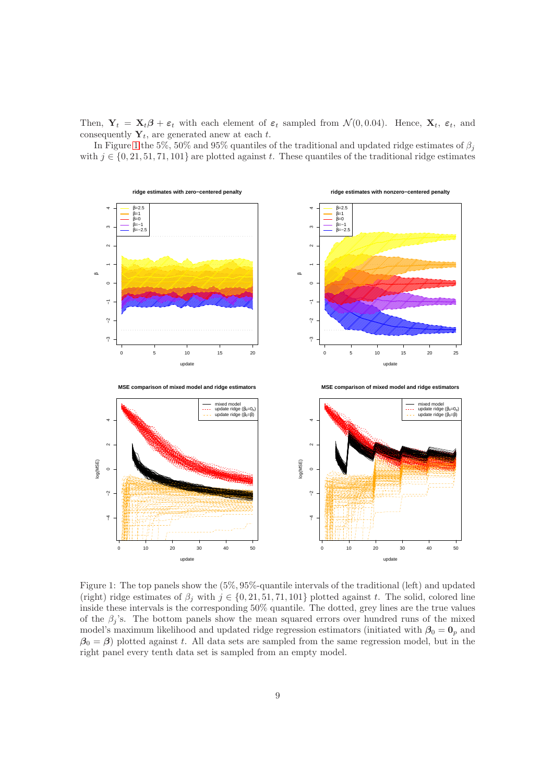Then,  $Y_t = X_t \beta + \varepsilon_t$  with each element of  $\varepsilon_t$  sampled from  $\mathcal{N}(0, 0.04)$ . Hence,  $X_t$ ,  $\varepsilon_t$ , and consequently  $Y_t$ , are generated anew at each t.

In Figure [1](#page-8-0) the 5%, 50% and 95% quantiles of the traditional and updated ridge estimates of  $\beta_i$ with  $j \in \{0, 21, 51, 71, 101\}$  are plotted against t. These quantiles of the traditional ridge estimates



<span id="page-8-0"></span>Figure 1: The top panels show the (5%, 95%-quantile intervals of the traditional (left) and updated (right) ridge estimates of  $\beta_i$  with  $j \in \{0, 21, 51, 71, 101\}$  plotted against t. The solid, colored line inside these intervals is the corresponding 50% quantile. The dotted, grey lines are the true values of the  $\beta_i$ 's. The bottom panels show the mean squared errors over hundred runs of the mixed model's maximum likelihood and updated ridge regression estimators (initiated with  $\beta_0 = 0_p$  and  $\beta_0 = \beta$ ) plotted against t. All data sets are sampled from the same regression model, but in the right panel every tenth data set is sampled from an empty model.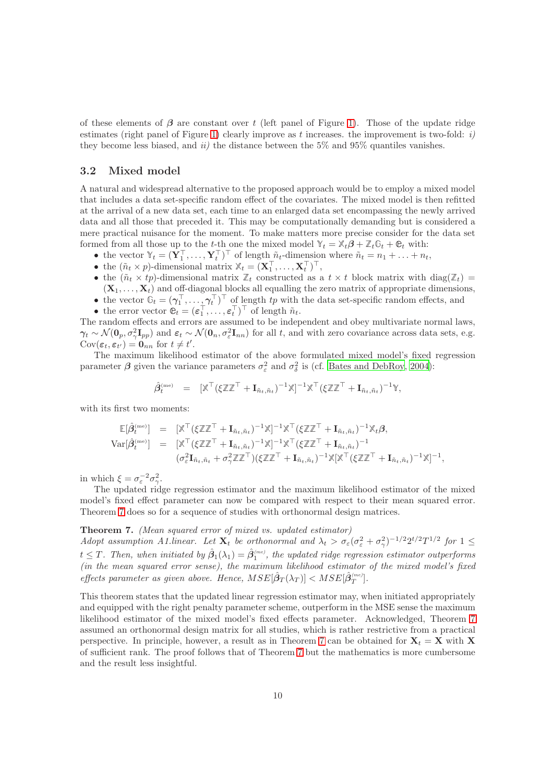of these elements of  $\beta$  are constant over t (left panel of Figure [1\)](#page-8-0). Those of the update ridge estimates (right panel of Figure [1\)](#page-8-0) clearly improve as t increases. the improvement is two-fold:  $i$ ) they become less biased, and  $ii$ ) the distance between the 5% and 95% quantiles vanishes.

### 3.2 Mixed model

A natural and widespread alternative to the proposed approach would be to employ a mixed model that includes a data set-specific random effect of the covariates. The mixed model is then refitted at the arrival of a new data set, each time to an enlarged data set encompassing the newly arrived data and all those that preceded it. This may be computationally demanding but is considered a mere practical nuisance for the moment. To make matters more precise consider for the data set formed from all those up to the t-th one the mixed model  $\mathbb{Y}_t = \mathbb{X}_t \mathbf{\beta} + \mathbb{Z}_t \mathbb{G}_t + \mathbb{e}_t$  with:

- the vector  $\mathbb{Y}_t = (\mathbf{Y}_1^\top, \dots, \mathbf{Y}_t^\top)^\top$  of length  $\tilde{n}_t$ -dimension where  $\tilde{n}_t = n_1 + \dots + n_t$ ,
- the  $(\tilde{n}_t \times p)$ -dimensional matrix  $\mathbb{X}_t = (\mathbf{X}_1^\top, \dots, \mathbf{X}_t^\top)^\top$ ,
- the  $(\tilde{n}_t \times tp)$ -dimensional matrix  $\mathbb{Z}_t$  constructed as a  $t \times t$  block matrix with diag( $\mathbb{Z}_t$ ) =  $(X_1, \ldots, X_t)$  and off-diagonal blocks all equalling the zero matrix of appropriate dimensions,
- the vector  $\mathbb{G}_t = (\gamma_1^\top, \ldots, \gamma_t^\top)^\top$  of length  $tp$  with the data set-specific random effects, and <br>• the error vector  $\mathbb{e}_t = (\varepsilon_1^\top, \ldots, \varepsilon_t^\top)^\top$  of length  $\tilde{n}_t$ .
- 

The random effects and errors are assumed to be independent and obey multivariate normal laws,  $\gamma_t \sim \mathcal{N}(\mathbf{0}_p, \sigma_\gamma^2 \mathbf{I}_{pp})$  and  $\varepsilon_t \sim \mathcal{N}(\mathbf{0}_n, \sigma_\varepsilon^2 \mathbf{I}_{nn})$  for all t, and with zero covariance across data sets, e.g.  $Cov(\varepsilon_t, \varepsilon_{t'}) = \mathbf{0}_{nn}$  for  $t \neq t'$ .

The maximum likelihood estimator of the above formulated mixed model's fixed regression parameter  $\beta$  given the variance parameters  $\sigma_{\varepsilon}^2$  and  $\sigma_{\delta}^2$  is (cf. [Bates and DebRoy](#page-12-1), [2004\)](#page-12-1):

$$
\hat{\beta}^{\scriptscriptstyle \rm (me)}_t\ \ =\ \ [\mathbb{X}^\top (\xi\mathbb{Z}\mathbb{Z}^\top + \mathbf{I}_{\tilde{n}_t,\tilde{n}_t})^{-1}\mathbb{X}]^{-1}\mathbb{X}^\top (\xi\mathbb{Z}\mathbb{Z}^\top + \mathbf{I}_{\tilde{n}_t,\tilde{n}_t})^{-1}\mathbb{Y},
$$

with its first two moments:

$$
\mathbb{E}[\hat{\beta}_{t}^{(\text{me})}] = [\mathbb{X}^{\top}(\xi \mathbb{Z} \mathbb{Z}^{\top} + \mathbf{I}_{\tilde{n}_{t}, \tilde{n}_{t}})^{-1} \mathbb{X}]^{-1} \mathbb{X}^{\top}(\xi \mathbb{Z} \mathbb{Z}^{\top} + \mathbf{I}_{\tilde{n}_{t}, \tilde{n}_{t}})^{-1} \mathbb{X}_{t} \beta,
$$
  
\n
$$
\text{Var}[\hat{\beta}_{t}^{(\text{me})}] = [\mathbb{X}^{\top}(\xi \mathbb{Z} \mathbb{Z}^{\top} + \mathbf{I}_{\tilde{n}_{t}, \tilde{n}_{t}})^{-1} \mathbb{X}]^{-1} \mathbb{X}^{\top}(\xi \mathbb{Z} \mathbb{Z}^{\top} + \mathbf{I}_{\tilde{n}_{t}, \tilde{n}_{t}})^{-1}
$$
  
\n
$$
(\sigma_{\varepsilon}^{2} \mathbf{I}_{\tilde{n}_{t}, \tilde{n}_{t}} + \sigma_{\gamma}^{2} \mathbb{Z}^{\top})(\xi \mathbb{Z} \mathbb{Z}^{\top} + \mathbf{I}_{\tilde{n}_{t}, \tilde{n}_{t}})^{-1} \mathbb{X}[\mathbb{X}^{\top}(\xi \mathbb{Z} \mathbb{Z}^{\top} + \mathbf{I}_{\tilde{n}_{t}, \tilde{n}_{t}})^{-1} \mathbb{X}]^{-1},
$$

in which  $\xi = \sigma_{\varepsilon}^{-2} \sigma_{\gamma}^2$ .

The updated ridge regression estimator and the maximum likelihood estimator of the mixed model's fixed effect parameter can now be compared with respect to their mean squared error. Theorem [7](#page-9-0) does so for a sequence of studies with orthonormal design matrices.

#### <span id="page-9-0"></span>Theorem 7. (Mean squared error of mixed vs. updated estimator)

Adopt assumption A1.linear. Let  $\mathbf{X}_t$  be orthonormal and  $\lambda_t > \sigma_{\varepsilon}(\sigma_{\varepsilon}^2 + \sigma_{\gamma}^2)^{-1/2} 2^{t/2} T^{1/2}$  for  $1 \leq$  $t \leq T$ . Then, when initiated by  $\hat{\beta}_1(\lambda_1) = \hat{\beta}_1^{(me)}$ , the updated ridge regression estimator outperforms (in the mean squared error sense), the maximum likelihood estimator of the mixed model's fixed effects parameter as given above. Hence,  $MSE[\hat{\beta}_T(\lambda_T)] < MSE[\hat{\beta}_T^{(me)}].$ 

This theorem states that the updated linear regression estimator may, when initiated appropriately and equipped with the right penalty parameter scheme, outperform in the MSE sense the maximum likelihood estimator of the mixed model's fixed effects parameter. Acknowledged, Theorem [7](#page-9-0) assumed an orthonormal design matrix for all studies, which is rather restrictive from a practical perspective. In principle, however, a result as in Theorem [7](#page-9-0) can be obtained for  $X_t = X$  with X of sufficient rank. The proof follows that of Theorem [7](#page-9-0) but the mathematics is more cumbersome and the result less insightful.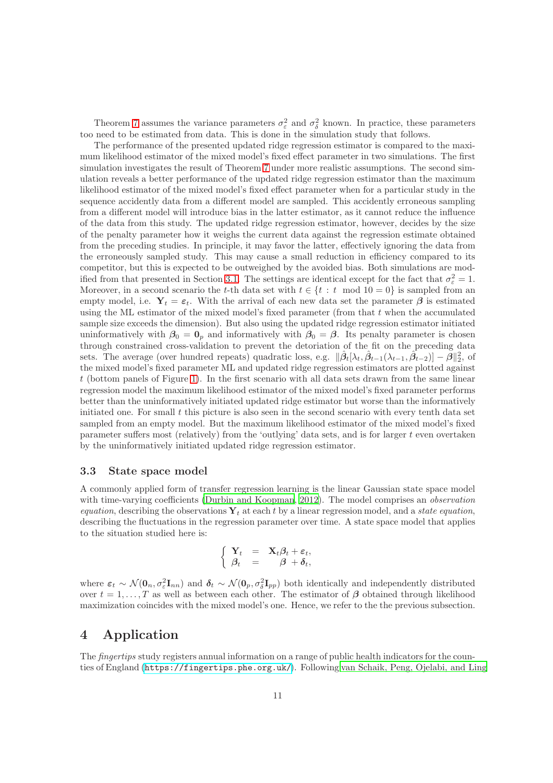Theorem [7](#page-9-0) assumes the variance parameters  $\sigma_{\varepsilon}^2$  and  $\sigma_{\delta}^2$  known. In practice, these parameters too need to be estimated from data. This is done in the simulation study that follows.

The performance of the presented updated ridge regression estimator is compared to the maximum likelihood estimator of the mixed model's fixed effect parameter in two simulations. The first simulation investigates the result of Theorem [7](#page-9-0) under more realistic assumptions. The second simulation reveals a better performance of the updated ridge regression estimator than the maximum likelihood estimator of the mixed model's fixed effect parameter when for a particular study in the sequence accidently data from a different model are sampled. This accidently erroneous sampling from a different model will introduce bias in the latter estimator, as it cannot reduce the influence of the data from this study. The updated ridge regression estimator, however, decides by the size of the penalty parameter how it weighs the current data against the regression estimate obtained from the preceding studies. In principle, it may favor the latter, effectively ignoring the data from the erroneously sampled study. This may cause a small reduction in efficiency compared to its competitor, but this is expected to be outweighed by the avoided bias. Both simulations are mod-ified from that presented in Section [3.1.](#page-7-0) The settings are identical except for the fact that  $\sigma_{\varepsilon}^2 = 1$ . Moreover, in a second scenario the t-th data set with  $t \in \{t : t \mod 10 = 0\}$  is sampled from an empty model, i.e.  $Y_t = \varepsilon_t$ . With the arrival of each new data set the parameter  $\beta$  is estimated using the ML estimator of the mixed model's fixed parameter (from that  $t$  when the accumulated sample size exceeds the dimension). But also using the updated ridge regression estimator initiated uninformatively with  $\beta_0 = \mathbf{0}_p$  and informatively with  $\beta_0 = \beta$ . Its penalty parameter is chosen through constrained cross-validation to prevent the detoriation of the fit on the preceding data sets. The average (over hundred repeats) quadratic loss, e.g.  $\|\hat{\beta}_t[\lambda_t, \hat{\beta}_{t-1}(\lambda_{t-1}, \hat{\beta}_{t-2})] - \hat{\beta}\|_2^2$ , of the mixed model's fixed parameter ML and updated ridge regression estimators are plotted against t (bottom panels of Figure [1\)](#page-8-0). In the first scenario with all data sets drawn from the same linear regression model the maximum likelihood estimator of the mixed model's fixed parameter performs better than the uninformatively initiated updated ridge estimator but worse than the informatively initiated one. For small  $t$  this picture is also seen in the second scenario with every tenth data set sampled from an empty model. But the maximum likelihood estimator of the mixed model's fixed parameter suffers most (relatively) from the 'outlying' data sets, and is for larger t even overtaken by the uninformatively initiated updated ridge regression estimator.

#### 3.3 State space model

A commonly applied form of transfer regression learning is the linear Gaussian state space model with time-varying coefficients [\(Durbin and Koopman, 2012\)](#page-13-6). The model comprises an *observation* equation, describing the observations  $Y_t$  at each t by a linear regression model, and a state equation, describing the fluctuations in the regression parameter over time. A state space model that applies to the situation studied here is:

$$
\begin{cases}\n\mathbf{Y}_t = \mathbf{X}_t \boldsymbol{\beta}_t + \boldsymbol{\varepsilon}_t, \\
\boldsymbol{\beta}_t = \boldsymbol{\beta} + \boldsymbol{\delta}_t,\n\end{cases}
$$

where  $\varepsilon_t \sim \mathcal{N}(\mathbf{0}_n, \sigma_\varepsilon^2 \mathbf{I}_{nn})$  and  $\boldsymbol{\delta}_t \sim \mathcal{N}(\mathbf{0}_p, \sigma_\delta^2 \mathbf{I}_{pp})$  both identically and independently distributed over  $t = 1, \ldots, T$  as well as between each other. The estimator of  $\beta$  obtained through likelihood maximization coincides with the mixed model's one. Hence, we refer to the the previous subsection.

# 4 Application

The *fingertips* study registers annual information on a range of public health indicators for the counties of England ([https://fingertips.phe.org.uk/](https://fingertips.phe.org. uk/)). Following [van Schaik, Peng, Ojelabi, and Ling](#page-13-13)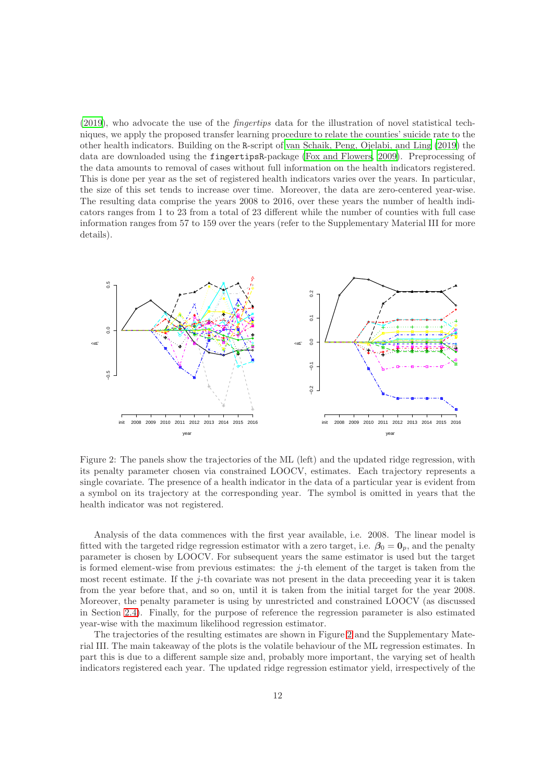[\(2019\)](#page-13-13), who advocate the use of the fingertips data for the illustration of novel statistical techniques, we apply the proposed transfer learning procedure to relate the counties' suicide rate to the other health indicators. Building on the R-script of [van Schaik, Peng, Ojelabi, and Ling \(2019\)](#page-13-13) the data are downloaded using the fingertipsR-package [\(Fox and Flowers](#page-13-14), [2009\)](#page-13-14). Preprocessing of the data amounts to removal of cases without full information on the health indicators registered. This is done per year as the set of registered health indicators varies over the years. In particular, the size of this set tends to increase over time. Moreover, the data are zero-centered year-wise. The resulting data comprise the years 2008 to 2016, over these years the number of health indicators ranges from 1 to 23 from a total of 23 different while the number of counties with full case information ranges from 57 to 159 over the years (refer to the Supplementary Material III for more details).



<span id="page-11-0"></span>Figure 2: The panels show the trajectories of the ML (left) and the updated ridge regression, with its penalty parameter chosen via constrained LOOCV, estimates. Each trajectory represents a single covariate. The presence of a health indicator in the data of a particular year is evident from a symbol on its trajectory at the corresponding year. The symbol is omitted in years that the health indicator was not registered.

Analysis of the data commences with the first year available, i.e. 2008. The linear model is fitted with the targeted ridge regression estimator with a zero target, i.e.  $\beta_0 = 0_p$ , and the penalty parameter is chosen by LOOCV. For subsequent years the same estimator is used but the target is formed element-wise from previous estimates: the  $j$ -th element of the target is taken from the most recent estimate. If the  $j$ -th covariate was not present in the data preceeding year it is taken from the year before that, and so on, until it is taken from the initial target for the year 2008. Moreover, the penalty parameter is using by unrestricted and constrained LOOCV (as discussed in Section [2.4\)](#page-6-0). Finally, for the purpose of reference the regression parameter is also estimated year-wise with the maximum likelihood regression estimator.

The trajectories of the resulting estimates are shown in Figure [2](#page-11-0) and the Supplementary Material III. The main takeaway of the plots is the volatile behaviour of the ML regression estimates. In part this is due to a different sample size and, probably more important, the varying set of health indicators registered each year. The updated ridge regression estimator yield, irrespectively of the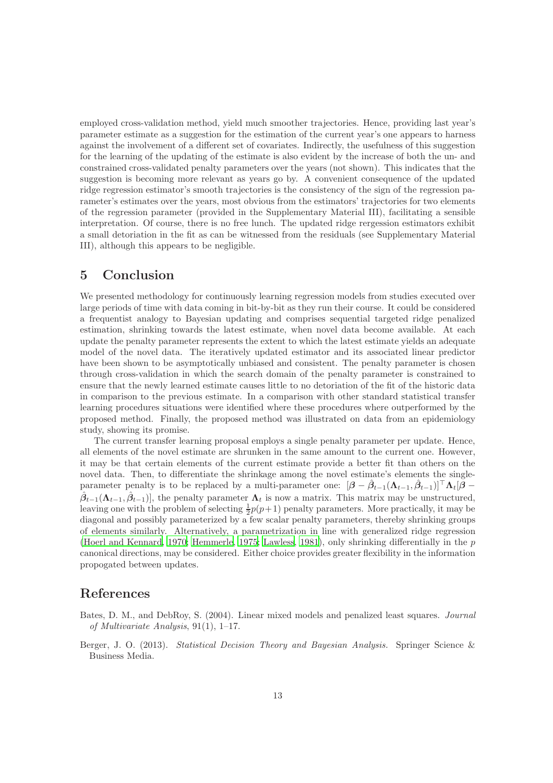employed cross-validation method, yield much smoother trajectories. Hence, providing last year's parameter estimate as a suggestion for the estimation of the current year's one appears to harness against the involvement of a different set of covariates. Indirectly, the usefulness of this suggestion for the learning of the updating of the estimate is also evident by the increase of both the un- and constrained cross-validated penalty parameters over the years (not shown). This indicates that the suggestion is becoming more relevant as years go by. A convenient consequence of the updated ridge regression estimator's smooth trajectories is the consistency of the sign of the regression parameter's estimates over the years, most obvious from the estimators' trajectories for two elements of the regression parameter (provided in the Supplementary Material III), facilitating a sensible interpretation. Of course, there is no free lunch. The updated ridge rergession estimators exhibit a small detoriation in the fit as can be witnessed from the residuals (see Supplementary Material III), although this appears to be negligible.

### 5 Conclusion

We presented methodology for continuously learning regression models from studies executed over large periods of time with data coming in bit-by-bit as they run their course. It could be considered a frequentist analogy to Bayesian updating and comprises sequential targeted ridge penalized estimation, shrinking towards the latest estimate, when novel data become available. At each update the penalty parameter represents the extent to which the latest estimate yields an adequate model of the novel data. The iteratively updated estimator and its associated linear predictor have been shown to be asymptotically unbiased and consistent. The penalty parameter is chosen through cross-validation in which the search domain of the penalty parameter is constrained to ensure that the newly learned estimate causes little to no detoriation of the fit of the historic data in comparison to the previous estimate. In a comparison with other standard statistical transfer learning procedures situations were identified where these procedures where outperformed by the proposed method. Finally, the proposed method was illustrated on data from an epidemiology study, showing its promise.

The current transfer learning proposal employs a single penalty parameter per update. Hence, all elements of the novel estimate are shrunken in the same amount to the current one. However, it may be that certain elements of the current estimate provide a better fit than others on the novel data. Then, to differentiate the shrinkage among the novel estimate's elements the singleparameter penalty is to be replaced by a multi-parameter one:  $[\beta - \hat{\beta}_{t-1}(\Lambda_{t-1}, \hat{\beta}_{t-1})]^{\top} \Lambda_t [\beta (\hat{\beta}_{t-1}(\Lambda_{t-1}, \hat{\beta}_{t-1})],$  the penalty parameter  $\Lambda_t$  is now a matrix. This matrix may be unstructured, leaving one with the problem of selecting  $\frac{1}{2}p(p+1)$  penalty parameters. More practically, it may be diagonal and possibly parameterized by a few scalar penalty parameters, thereby shrinking groups of elements similarly. Alternatively, a parametrization in line with generalized ridge regression [\(Hoerl and Kennard](#page-13-15), [1970;](#page-13-15) [Hemmerle, 1975](#page-13-16); [Lawless, 1981\)](#page-13-17), only shrinking differentially in the p canonical directions, may be considered. Either choice provides greater flexibility in the information propogated between updates.

### References

- <span id="page-12-1"></span>Bates, D. M., and DebRoy, S. (2004). Linear mixed models and penalized least squares. Journal of Multivariate Analysis, 91(1), 1–17.
- <span id="page-12-0"></span>Berger, J. O. (2013). Statistical Decision Theory and Bayesian Analysis. Springer Science & Business Media.